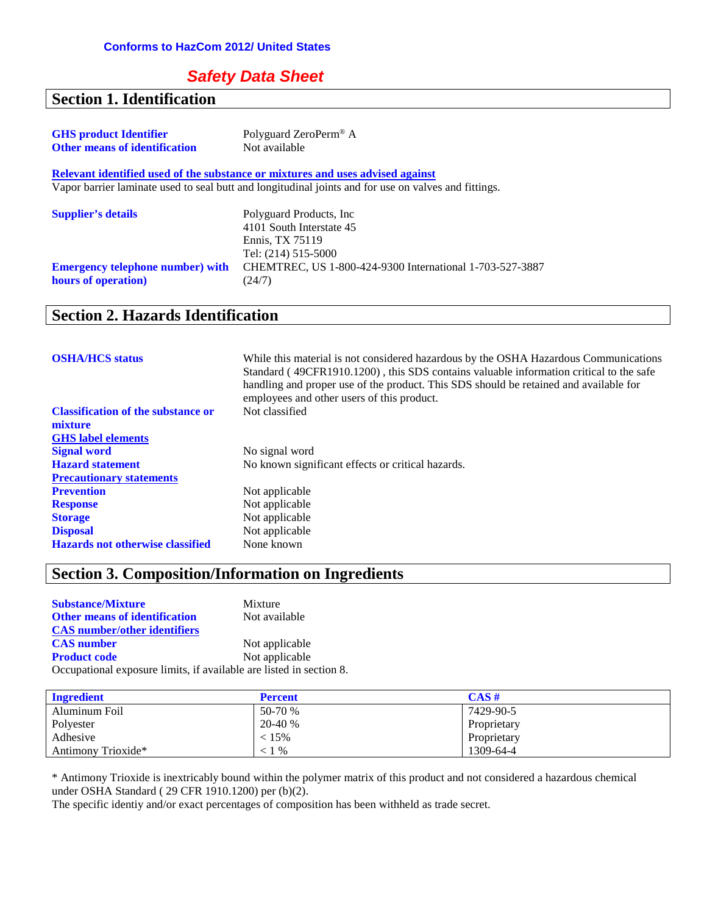#### *Safety Data Sheet*

#### **Section 1. Identification**

| <b>GHS</b> product Identifier        | Polyguard ZeroPerm <sup>®</sup> A |
|--------------------------------------|-----------------------------------|
| <b>Other means of identification</b> | Not available                     |

**Relevant identified used of the substance or mixtures and uses advised against** Vapor barrier laminate used to seal butt and longitudinal joints and for use on valves and fittings.

| <b>Supplier's details</b>               | Polyguard Products, Inc.<br>4101 South Interstate 45<br>Ennis. TX 75119<br>Tel: (214) 515-5000 |
|-----------------------------------------|------------------------------------------------------------------------------------------------|
| <b>Emergency telephone number)</b> with | CHEMTREC, US 1-800-424-9300 International 1-703-527-3887                                       |
| hours of operation)                     | (24/7)                                                                                         |

#### **Section 2. Hazards Identification**

| <b>OSHA/HCS</b> status                    | While this material is not considered hazardous by the OSHA Hazardous Communications<br>Standard (49CFR1910.1200), this SDS contains valuable information critical to the safe<br>handling and proper use of the product. This SDS should be retained and available for<br>employees and other users of this product. |
|-------------------------------------------|-----------------------------------------------------------------------------------------------------------------------------------------------------------------------------------------------------------------------------------------------------------------------------------------------------------------------|
| <b>Classification of the substance or</b> | Not classified                                                                                                                                                                                                                                                                                                        |
| mixture                                   |                                                                                                                                                                                                                                                                                                                       |
| <b>GHS</b> label elements                 |                                                                                                                                                                                                                                                                                                                       |
| <b>Signal word</b>                        | No signal word                                                                                                                                                                                                                                                                                                        |
| <b>Hazard statement</b>                   | No known significant effects or critical hazards.                                                                                                                                                                                                                                                                     |
| <b>Precautionary statements</b>           |                                                                                                                                                                                                                                                                                                                       |
| <b>Prevention</b>                         | Not applicable                                                                                                                                                                                                                                                                                                        |
| <b>Response</b>                           | Not applicable                                                                                                                                                                                                                                                                                                        |
| <b>Storage</b>                            | Not applicable                                                                                                                                                                                                                                                                                                        |
| <b>Disposal</b>                           | Not applicable                                                                                                                                                                                                                                                                                                        |
| <b>Hazards not otherwise classified</b>   | None known                                                                                                                                                                                                                                                                                                            |

## **Section 3. Composition/Information on Ingredients**

| <b>Substance/Mixture</b>                                            | Mixture        |
|---------------------------------------------------------------------|----------------|
| <b>Other means of identification</b>                                | Not available  |
| <b>CAS</b> number/other identifiers                                 |                |
| <b>CAS</b> number                                                   | Not applicable |
| <b>Product code</b>                                                 | Not applicable |
| Occupational exposure limits, if available are listed in section 8. |                |

| <b>Ingredient</b>  | <b>Percent</b> | $CAS \#$    |
|--------------------|----------------|-------------|
| Aluminum Foil      | 50-70 %        | 7429-90-5   |
| Polyester          | 20-40 %        | Proprietary |
| Adhesive           | $< 15\%$       | Proprietary |
| Antimony Trioxide* | $< 1\%$        | 1309-64-4   |

\* Antimony Trioxide is inextricably bound within the polymer matrix of this product and not considered a hazardous chemical under OSHA Standard ( 29 CFR 1910.1200) per (b)(2).

The specific identiy and/or exact percentages of composition has been withheld as trade secret.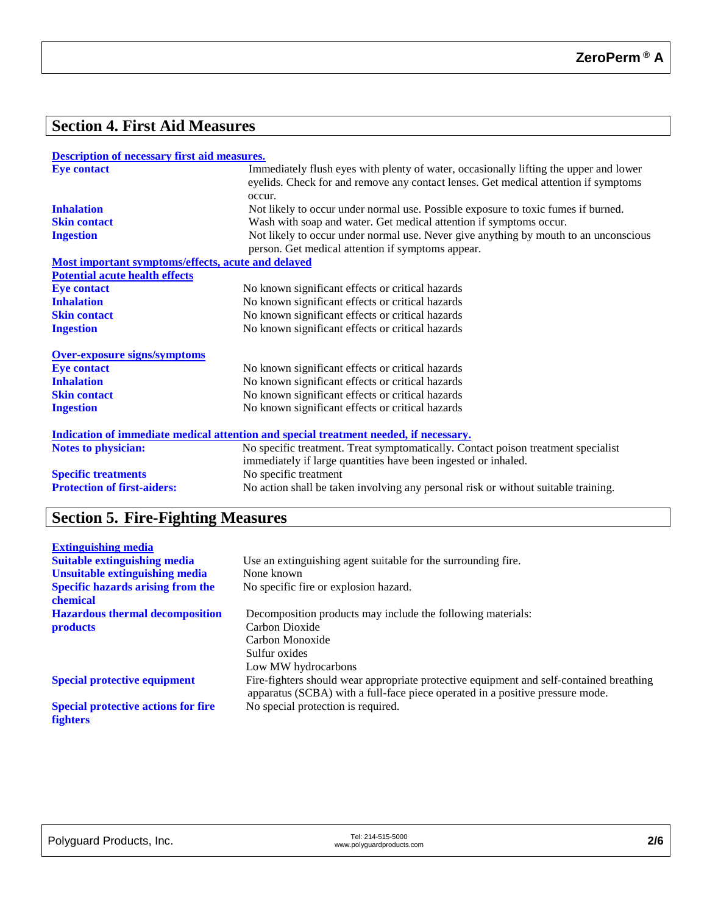## **Section 4. First Aid Measures**

| <b>Description of necessary first aid measures.</b> |
|-----------------------------------------------------|
|-----------------------------------------------------|

| <b>Eye contact</b>                                 | Immediately flush eyes with plenty of water, occasionally lifting the upper and lower<br>eyelids. Check for and remove any contact lenses. Get medical attention if symptoms |  |  |
|----------------------------------------------------|------------------------------------------------------------------------------------------------------------------------------------------------------------------------------|--|--|
|                                                    | occur.                                                                                                                                                                       |  |  |
| <b>Inhalation</b>                                  | Not likely to occur under normal use. Possible exposure to toxic fumes if burned.                                                                                            |  |  |
| <b>Skin contact</b>                                | Wash with soap and water. Get medical attention if symptoms occur.                                                                                                           |  |  |
| <b>Ingestion</b>                                   | Not likely to occur under normal use. Never give anything by mouth to an unconscious                                                                                         |  |  |
|                                                    | person. Get medical attention if symptoms appear.                                                                                                                            |  |  |
| Most important symptoms/effects, acute and delayed |                                                                                                                                                                              |  |  |
| <b>Potential acute health effects</b>              |                                                                                                                                                                              |  |  |
| <b>Eye contact</b>                                 | No known significant effects or critical hazards                                                                                                                             |  |  |
| <b>Inhalation</b>                                  | No known significant effects or critical hazards                                                                                                                             |  |  |
| <b>Skin contact</b>                                | No known significant effects or critical hazards                                                                                                                             |  |  |
| <b>Ingestion</b>                                   | No known significant effects or critical hazards                                                                                                                             |  |  |
| <b>Over-exposure signs/symptoms</b>                |                                                                                                                                                                              |  |  |
| <b>Eye contact</b>                                 | No known significant effects or critical hazards                                                                                                                             |  |  |
| <b>Inhalation</b>                                  | No known significant effects or critical hazards                                                                                                                             |  |  |
| <b>Skin contact</b>                                | No known significant effects or critical hazards                                                                                                                             |  |  |
| <b>Ingestion</b>                                   | No known significant effects or critical hazards                                                                                                                             |  |  |
|                                                    | Indication of immediate medical attention and special treatment needed, if necessary.                                                                                        |  |  |
| <b>Notes to physician:</b>                         | No specific treatment. Treat symptomatically. Contact poison treatment specialist                                                                                            |  |  |
|                                                    | immediately if large quantities have been ingested or inhaled.                                                                                                               |  |  |
| <b>Specific treatments</b>                         | No specific treatment                                                                                                                                                        |  |  |
| <b>Protection of first-aiders:</b>                 | No action shall be taken involving any personal risk or without suitable training.                                                                                           |  |  |

## **Section 5. Fire-Fighting Measures**

| <b>Extinguishing media</b>                 |                                                                                                                                                                          |
|--------------------------------------------|--------------------------------------------------------------------------------------------------------------------------------------------------------------------------|
| <b>Suitable extinguishing media</b>        | Use an extinguishing agent suitable for the surrounding fire.                                                                                                            |
| <b>Unsuitable extinguishing media</b>      | None known                                                                                                                                                               |
| <b>Specific hazards arising from the</b>   | No specific fire or explosion hazard.                                                                                                                                    |
| chemical                                   |                                                                                                                                                                          |
| <b>Hazardous thermal decomposition</b>     | Decomposition products may include the following materials:                                                                                                              |
| <b>products</b>                            | Carbon Dioxide                                                                                                                                                           |
|                                            | Carbon Monoxide                                                                                                                                                          |
|                                            | Sulfur oxides                                                                                                                                                            |
|                                            | Low MW hydrocarbons                                                                                                                                                      |
| <b>Special protective equipment</b>        | Fire-fighters should wear appropriate protective equipment and self-contained breathing<br>apparatus (SCBA) with a full-face piece operated in a positive pressure mode. |
| <b>Special protective actions for fire</b> | No special protection is required.                                                                                                                                       |
| <b>fighters</b>                            |                                                                                                                                                                          |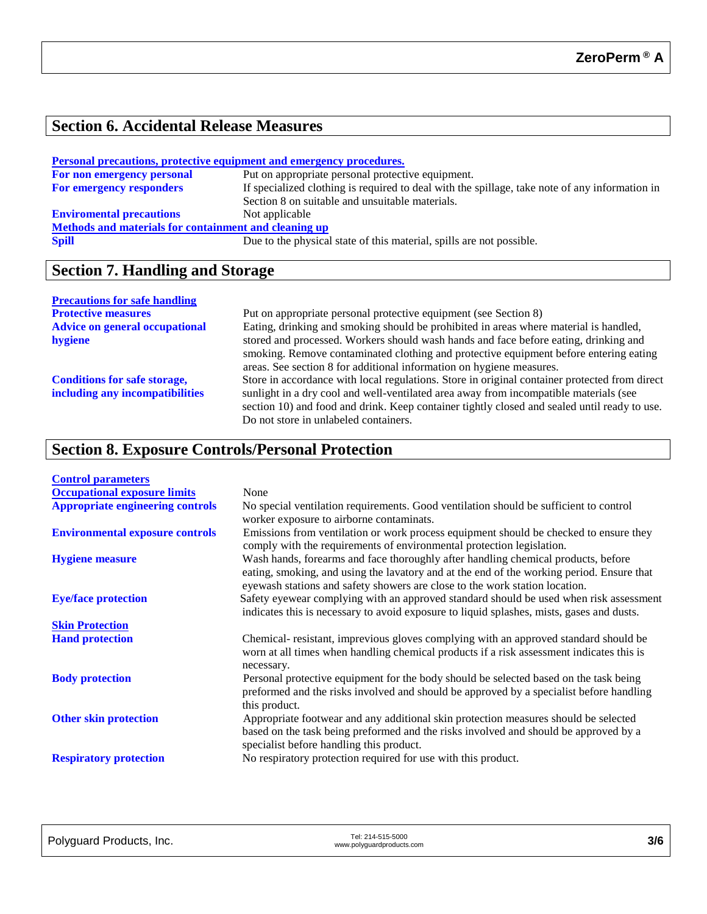#### **Section 6. Accidental Release Measures**

| <b>Personal precautions, protective equipment and emergency procedures.</b> |                                                                                                |  |  |
|-----------------------------------------------------------------------------|------------------------------------------------------------------------------------------------|--|--|
| For non emergency personal                                                  | Put on appropriate personal protective equipment.                                              |  |  |
| For emergency responders                                                    | If specialized clothing is required to deal with the spillage, take note of any information in |  |  |
|                                                                             | Section 8 on suitable and unsuitable materials.                                                |  |  |
| <b>Enviromental precautions</b>                                             | Not applicable                                                                                 |  |  |
| Methods and materials for containment and cleaning up                       |                                                                                                |  |  |
| <b>Spill</b>                                                                | Due to the physical state of this material, spills are not possible.                           |  |  |

## **Section 7. Handling and Storage**

#### **Precautions for safe handling**

| Put on appropriate personal protective equipment (see Section 8)                              |  |  |
|-----------------------------------------------------------------------------------------------|--|--|
| Eating, drinking and smoking should be prohibited in areas where material is handled,         |  |  |
| stored and processed. Workers should wash hands and face before eating, drinking and          |  |  |
| smoking. Remove contaminated clothing and protective equipment before entering eating         |  |  |
| areas. See section 8 for additional information on hygiene measures.                          |  |  |
| Store in accordance with local regulations. Store in original container protected from direct |  |  |
| sunlight in a dry cool and well-ventilated area away from incompatible materials (see         |  |  |
| section 10) and food and drink. Keep container tightly closed and sealed until ready to use.  |  |  |
| Do not store in unlabeled containers.                                                         |  |  |
|                                                                                               |  |  |

## **Section 8. Exposure Controls/Personal Protection**

| <b>Control parameters</b>               |                                                                                                                                                                                                                                                               |
|-----------------------------------------|---------------------------------------------------------------------------------------------------------------------------------------------------------------------------------------------------------------------------------------------------------------|
| <b>Occupational exposure limits</b>     | None                                                                                                                                                                                                                                                          |
| <b>Appropriate engineering controls</b> | No special ventilation requirements. Good ventilation should be sufficient to control<br>worker exposure to airborne contaminats.                                                                                                                             |
| <b>Environmental exposure controls</b>  | Emissions from ventilation or work process equipment should be checked to ensure they<br>comply with the requirements of environmental protection legislation.                                                                                                |
| <b>Hygiene measure</b>                  | Wash hands, forearms and face thoroughly after handling chemical products, before<br>eating, smoking, and using the lavatory and at the end of the working period. Ensure that<br>eyewash stations and safety showers are close to the work station location. |
| <b>Eye/face protection</b>              | Safety eyewear complying with an approved standard should be used when risk assessment<br>indicates this is necessary to avoid exposure to liquid splashes, mists, gases and dusts.                                                                           |
| <b>Skin Protection</b>                  |                                                                                                                                                                                                                                                               |
| <b>Hand protection</b>                  | Chemical-resistant, imprevious gloves complying with an approved standard should be<br>worn at all times when handling chemical products if a risk assessment indicates this is<br>necessary.                                                                 |
| <b>Body protection</b>                  | Personal protective equipment for the body should be selected based on the task being<br>preformed and the risks involved and should be approved by a specialist before handling<br>this product.                                                             |
| <b>Other skin protection</b>            | Appropriate footwear and any additional skin protection measures should be selected<br>based on the task being preformed and the risks involved and should be approved by a<br>specialist before handling this product.                                       |
| <b>Respiratory protection</b>           | No respiratory protection required for use with this product.                                                                                                                                                                                                 |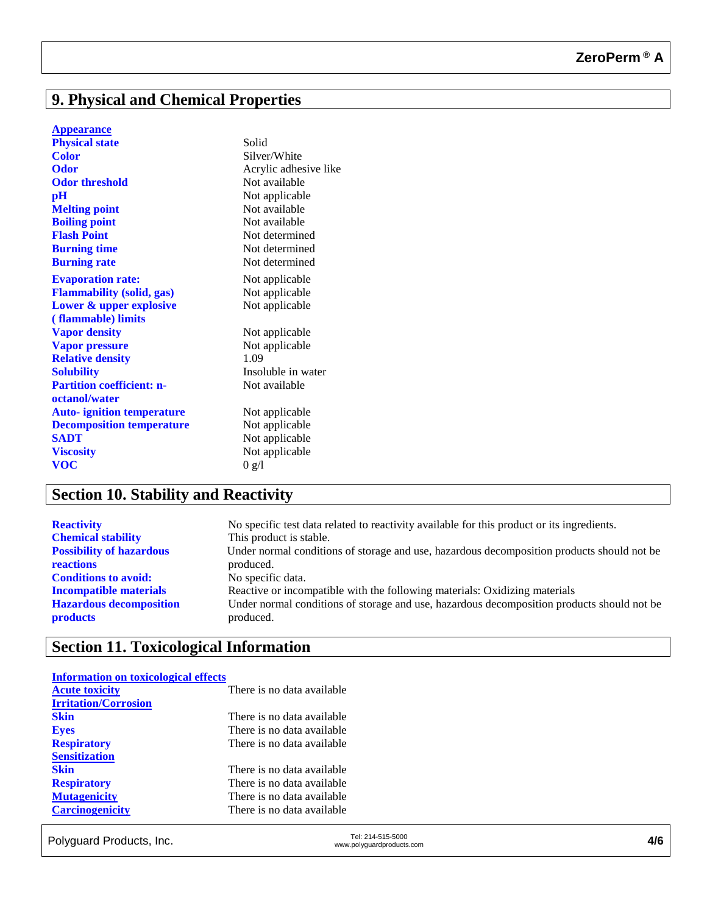## **9. Physical and Chemical Properties**

|  | <b>Appearance</b> |  |  |  |  |
|--|-------------------|--|--|--|--|
|--|-------------------|--|--|--|--|

| <b>Physical state</b>                             | Solid                 |
|---------------------------------------------------|-----------------------|
| <b>Color</b>                                      | Silver/White          |
| <b>Odor</b>                                       | Acrylic adhesive like |
| <b>Odor threshold</b>                             | Not available         |
| $\mathbf{p}$ H                                    | Not applicable        |
| <b>Melting point</b>                              | Not available         |
| <b>Boiling point</b>                              | Not available         |
| <b>Flash Point</b>                                | Not determined        |
| <b>Burning time</b>                               | Not determined        |
| <b>Burning rate</b>                               | Not determined        |
| <b>Evaporation rate:</b>                          | Not applicable        |
| <b>Flammability (solid, gas)</b>                  | Not applicable        |
| Lower & upper explosive                           | Not applicable        |
| (flammable) limits                                |                       |
| <b>Vapor density</b>                              | Not applicable        |
| <b>Vapor pressure</b>                             | Not applicable        |
| <b>Relative density</b>                           | 1.09                  |
| <b>Solubility</b>                                 | Insoluble in water    |
| <b>Partition coefficient: n-</b><br>octanol/water | Not available         |
| <b>Auto-</b> ignition temperature                 | Not applicable        |
| <b>Decomposition temperature</b>                  | Not applicable        |
| <b>SADT</b>                                       | Not applicable        |
| <b>Viscosity</b>                                  | Not applicable        |
| <b>VOC</b>                                        | 0 g/l                 |
|                                                   |                       |

## **Section 10. Stability and Reactivity**

| <b>Reactivity</b>               | No specific test data related to reactivity available for this product or its ingredients. |
|---------------------------------|--------------------------------------------------------------------------------------------|
| <b>Chemical stability</b>       | This product is stable.                                                                    |
| <b>Possibility of hazardous</b> | Under normal conditions of storage and use, hazardous decomposition products should not be |
| <b>reactions</b>                | produced.                                                                                  |
| <b>Conditions to avoid:</b>     | No specific data.                                                                          |
| <b>Incompatible materials</b>   | Reactive or incompatible with the following materials: Oxidizing materials                 |
| <b>Hazardous decomposition</b>  | Under normal conditions of storage and use, hazardous decomposition products should not be |
| <b>products</b>                 | produced.                                                                                  |

## **Section 11. Toxicological Information**

| <b>Information on toxicological effects</b> |                            |
|---------------------------------------------|----------------------------|
| <b>Acute toxicity</b>                       | There is no data available |
| <b>Irritation/Corrosion</b>                 |                            |
| <b>Skin</b>                                 | There is no data available |
| <b>Eyes</b>                                 | There is no data available |
| <b>Respiratory</b>                          | There is no data available |
| <b>Sensitization</b>                        |                            |
| <b>Skin</b>                                 | There is no data available |
| <b>Respiratory</b>                          | There is no data available |
| <b>Mutagenicity</b>                         | There is no data available |
| <b>Carcinogenicity</b>                      | There is no data available |
|                                             |                            |

Tel: 214-515-5000<br>www.polyguard Products, Inc. Tel: 214-515-5000 Tel: 214-515-5000<br>www.polyguardproducts.com **4/6**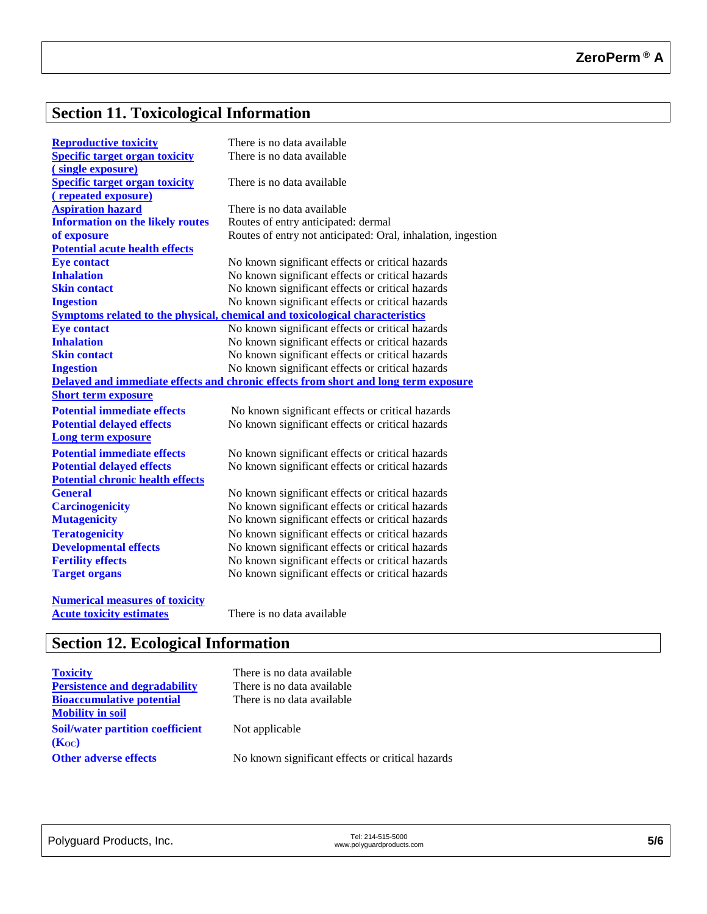# **Section 11. Toxicological Information**

| <b>Reproductive toxicity</b>            | There is no data available                                                          |
|-----------------------------------------|-------------------------------------------------------------------------------------|
| <b>Specific target organ toxicity</b>   | There is no data available                                                          |
| (single exposure)                       |                                                                                     |
| <b>Specific target organ toxicity</b>   | There is no data available                                                          |
| (repeated exposure)                     |                                                                                     |
| <b>Aspiration hazard</b>                | There is no data available                                                          |
| <b>Information on the likely routes</b> | Routes of entry anticipated: dermal                                                 |
| of exposure                             | Routes of entry not anticipated: Oral, inhalation, ingestion                        |
| <b>Potential acute health effects</b>   |                                                                                     |
| <b>Eye contact</b>                      | No known significant effects or critical hazards                                    |
| <b>Inhalation</b>                       | No known significant effects or critical hazards                                    |
| <b>Skin contact</b>                     | No known significant effects or critical hazards                                    |
| <b>Ingestion</b>                        | No known significant effects or critical hazards                                    |
|                                         | Symptoms related to the physical, chemical and toxicological characteristics        |
| <b>Eye contact</b>                      | No known significant effects or critical hazards                                    |
| <b>Inhalation</b>                       | No known significant effects or critical hazards                                    |
| <b>Skin contact</b>                     | No known significant effects or critical hazards                                    |
| <b>Ingestion</b>                        | No known significant effects or critical hazards                                    |
|                                         | Delayed and immediate effects and chronic effects from short and long term exposure |
| <b>Short term exposure</b>              |                                                                                     |
| <b>Potential immediate effects</b>      | No known significant effects or critical hazards                                    |
| <b>Potential delayed effects</b>        | No known significant effects or critical hazards                                    |
| <b>Long term exposure</b>               |                                                                                     |
| <b>Potential immediate effects</b>      | No known significant effects or critical hazards                                    |
| <b>Potential delayed effects</b>        | No known significant effects or critical hazards                                    |
| <b>Potential chronic health effects</b> |                                                                                     |
| <b>General</b>                          | No known significant effects or critical hazards                                    |
| <b>Carcinogenicity</b>                  | No known significant effects or critical hazards                                    |
| <b>Mutagenicity</b>                     | No known significant effects or critical hazards                                    |
| <b>Teratogenicity</b>                   | No known significant effects or critical hazards                                    |
| <b>Developmental effects</b>            | No known significant effects or critical hazards                                    |
| <b>Fertility effects</b>                | No known significant effects or critical hazards                                    |
| <b>Target organs</b>                    | No known significant effects or critical hazards                                    |
|                                         |                                                                                     |
| <b>Numerical measures of toxicity</b>   |                                                                                     |
| <b>Acute toxicity estimates</b>         | There is no data available                                                          |

# **Section 12. Ecological Information**

| <b>Toxicity</b>                         | There is no data available                       |
|-----------------------------------------|--------------------------------------------------|
| <b>Persistence and degradability</b>    | There is no data available                       |
| <b>Bioaccumulative potential</b>        | There is no data available                       |
| <b>Mobility in soil</b>                 |                                                  |
| <b>Soil/water partition coefficient</b> | Not applicable                                   |
| (Koc)                                   |                                                  |
| <b>Other adverse effects</b>            | No known significant effects or critical hazards |
|                                         |                                                  |

| Polyguard Products, Inc. | Tel: 214-515-5000         |     |
|--------------------------|---------------------------|-----|
|                          | www.polyquardproducts.com | 5/6 |